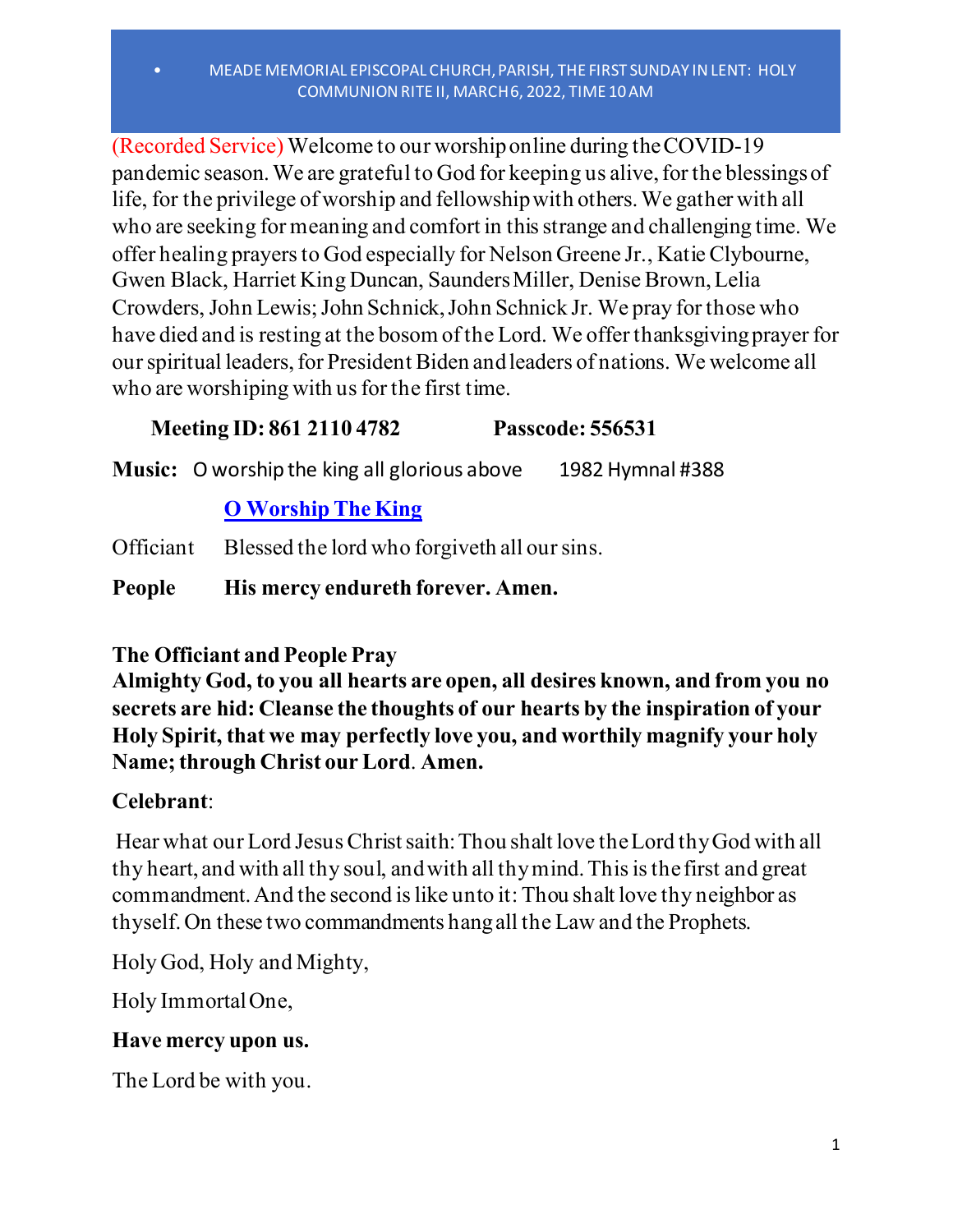(Recorded Service) Welcome to our worship online during the COVID-19 pandemic season. We are grateful to God for keeping us alive, for the blessings of life, for the privilege of worship and fellowship with others. We gather with all who are seeking for meaning and comfort in this strange and challenging time. We offer healing prayers to God especially for Nelson Greene Jr., Katie Clybourne, Gwen Black, Harriet King Duncan, Saunders Miller, Denise Brown, Lelia Crowders, John Lewis; John Schnick, John Schnick Jr. We pray for those who have died and is resting at the bosom of the Lord. We offer thanksgiving prayer for our spiritual leaders, for President Biden and leaders of nations. We welcome all who are worshiping with us for the first time.

### **Meeting ID: 861 2110 4782 Passcode: 556531**

**Music:** O worship the king all glorious above 1982 Hymnal #388

### **[O Worship The King](https://www.youtube.com/watch?v=mY6PpP8kDAc)**

Officiant Blessed the lord who forgiveth all our sins.

**People His mercy endureth forever. Amen.**

**The Officiant and People Pray**

**Almighty God, to you all hearts are open, all desires known, and from you no secrets are hid: Cleanse the thoughts of our hearts by the inspiration of your Holy Spirit, that we may perfectly love you, and worthily magnify your holy Name; through Christ our Lord**. **Amen.**

### **Celebrant**:

Hear what our Lord Jesus Christ saith:Thou shalt love the Lord thy God with all thy heart, and with all thy soul, and with all thy mind. This is the first and great commandment. And the second is like unto it: Thou shalt love thy neighbor as thyself. On these two commandments hang all the Law and the Prophets.

Holy God, Holy and Mighty,

Holy Immortal One,

### **Have mercy upon us.**

The Lord be with you.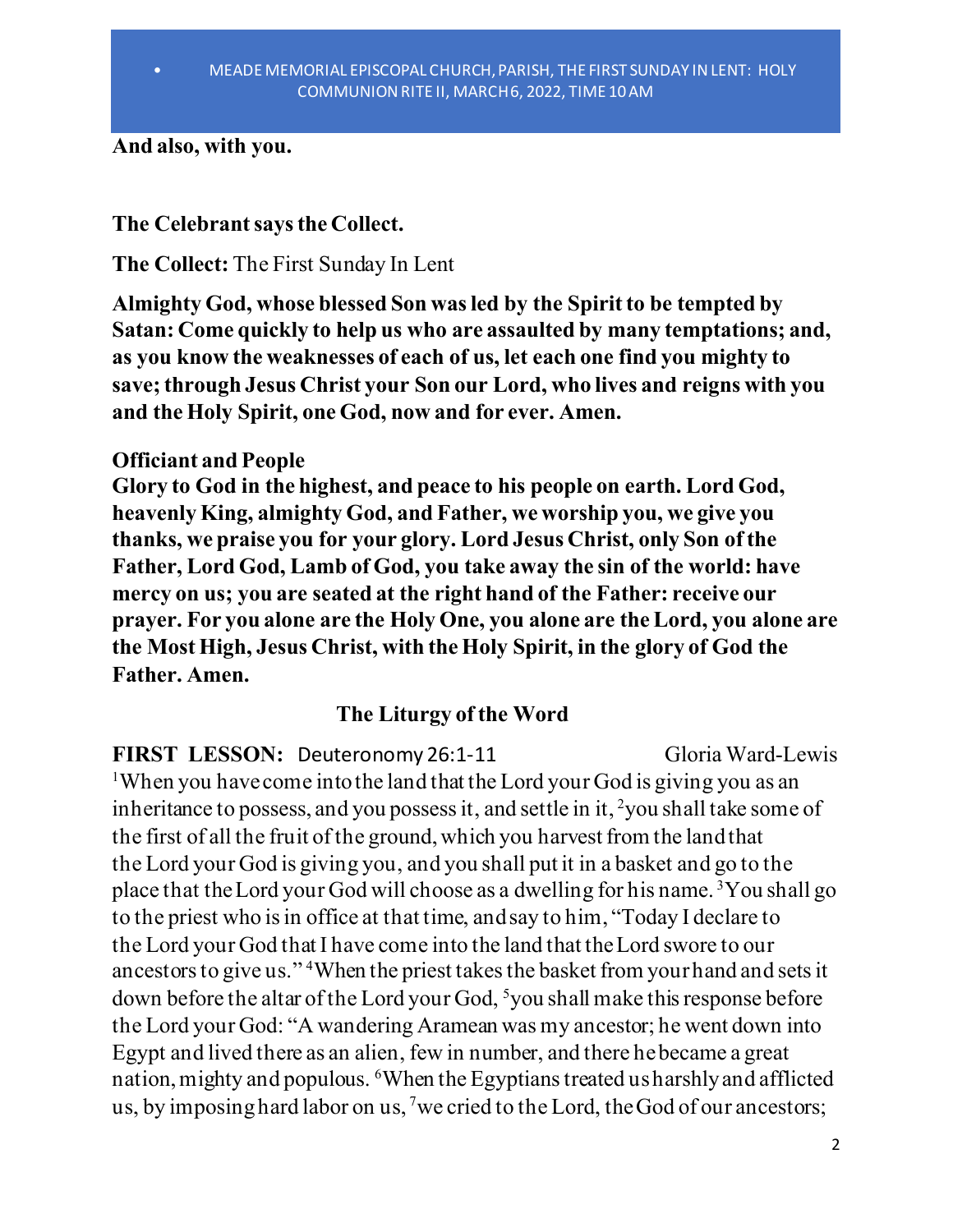### **And also, with you.**

**The Celebrant says the Collect.**

**The Collect:** The First Sunday In Lent

**Almighty God, whose blessed Son was led by the Spirit to be tempted by Satan: Come quickly to help us who are assaulted by many temptations; and, as you know the weaknesses of each of us, let each one find you mighty to save; through Jesus Christ your Son our Lord, who lives and reigns with you and the Holy Spirit, one God, now and for ever. Amen.**

### **Officiant and People**

**Glory to God in the highest, and peace to his people on earth. Lord God, heavenly King, almighty God, and Father, we worship you, we give you thanks, we praise you for your glory. Lord Jesus Christ, only Son of the Father, Lord God, Lamb of God, you take away the sin of the world: have mercy on us; you are seated at the right hand of the Father: receive our prayer. For you alone are the Holy One, you alone are the Lord, you alone are the Most High, Jesus Christ, with the Holy Spirit, in the glory of God the Father. Amen.**

## **The Liturgy of the Word**

FIRST LESSON: Deuteronomy 26:1-11 Gloria Ward-Lewis <sup>1</sup>When you have come into the land that the Lord your God is giving you as an inheritance to possess, and you possess it, and settle in it, 2you shall take some of the first of all the fruit of the ground, which you harvest from the land that the Lord your God is giving you, and you shall put it in a basket and go to the place that the Lord your God will choose as a dwelling for his name. <sup>3</sup>You shall go to the priest who is in office at that time, and say to him, "Today I declare to the Lord your God that I have come into the land that theLord swore to our ancestors to give us." 4When the priest takes the basket from your hand and sets it down before the altar of the Lord your God, <sup>5</sup>you shall make this response before the Lord your God: "A wandering Aramean was my ancestor; he went down into Egypt and lived there as an alien, few in number, and there he became a great nation, mighty and populous. <sup>6</sup> When the Egyptians treated us harshly and afflicted us, by imposing hard labor on us, <sup>7</sup> we cried to the Lord, the God of our ancestors;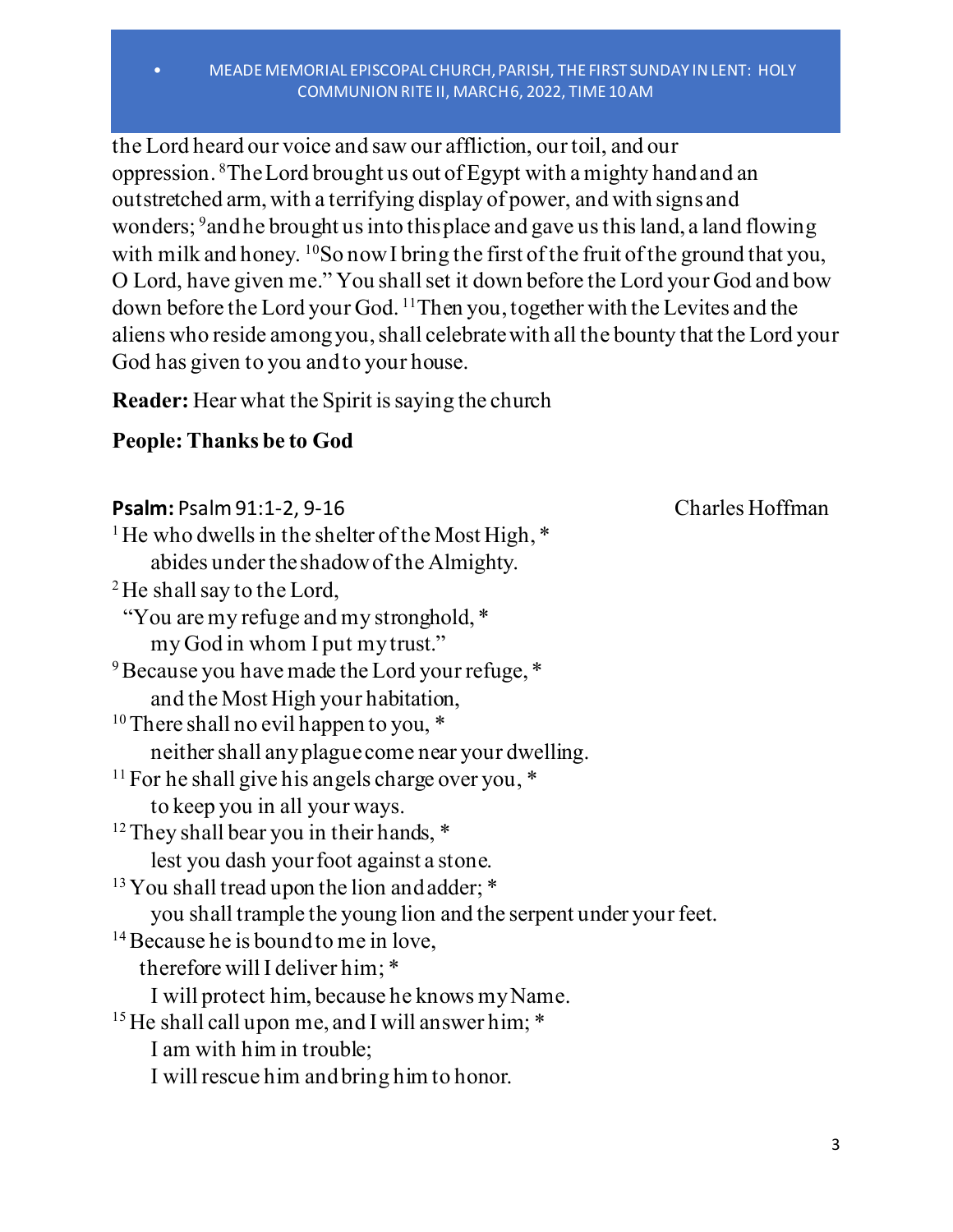the Lord heard our voice and saw our affliction, our toil, and our oppression. <sup>8</sup> TheLord brought us out of Egypt with a mighty hand and an outstretched arm, with a terrifying display of power, and with signs and wonders; <sup>9</sup>and he brought us into this place and gave us this land, a land flowing with milk and honey. <sup>10</sup>So now I bring the first of the fruit of the ground that you, O Lord, have given me." You shall set it down before the Lord your God and bow down before the Lord your God. 11Then you, together with the Levites and the aliens who reside among you, shall celebrate with all the bounty that the Lord your God has given to you and to your house.

**Reader:** Hear what the Spirit is saying the church

## **People: Thanks be to God**

| Psalm: Psalm 91:1-2, 9-16                                         | Charles Hoffman |
|-------------------------------------------------------------------|-----------------|
| <sup>1</sup> He who dwells in the shelter of the Most High, $*$   |                 |
| abides under the shadow of the Almighty.                          |                 |
| <sup>2</sup> He shall say to the Lord,                            |                 |
| "You are my refuge and my stronghold, *                           |                 |
| my God in whom I put my trust."                                   |                 |
| <sup>9</sup> Because you have made the Lord your refuge, *        |                 |
| and the Most High your habitation,                                |                 |
| <sup>10</sup> There shall no evil happen to you, $*$              |                 |
| neither shall any plague come near your dwelling.                 |                 |
| <sup>11</sup> For he shall give his angels charge over you, $*$   |                 |
| to keep you in all your ways.                                     |                 |
| <sup>12</sup> They shall bear you in their hands, *               |                 |
| lest you dash your foot against a stone.                          |                 |
| <sup>13</sup> You shall tread upon the lion and adder; *          |                 |
| you shall trample the young lion and the serpent under your feet. |                 |
| <sup>14</sup> Because he is bound to me in love,                  |                 |
| therefore will I deliver him; *                                   |                 |
| I will protect him, because he knows my Name.                     |                 |
| <sup>15</sup> He shall call upon me, and I will answer him; $*$   |                 |
| I am with him in trouble;                                         |                 |
| I will rescue him and bring him to honor.                         |                 |
|                                                                   |                 |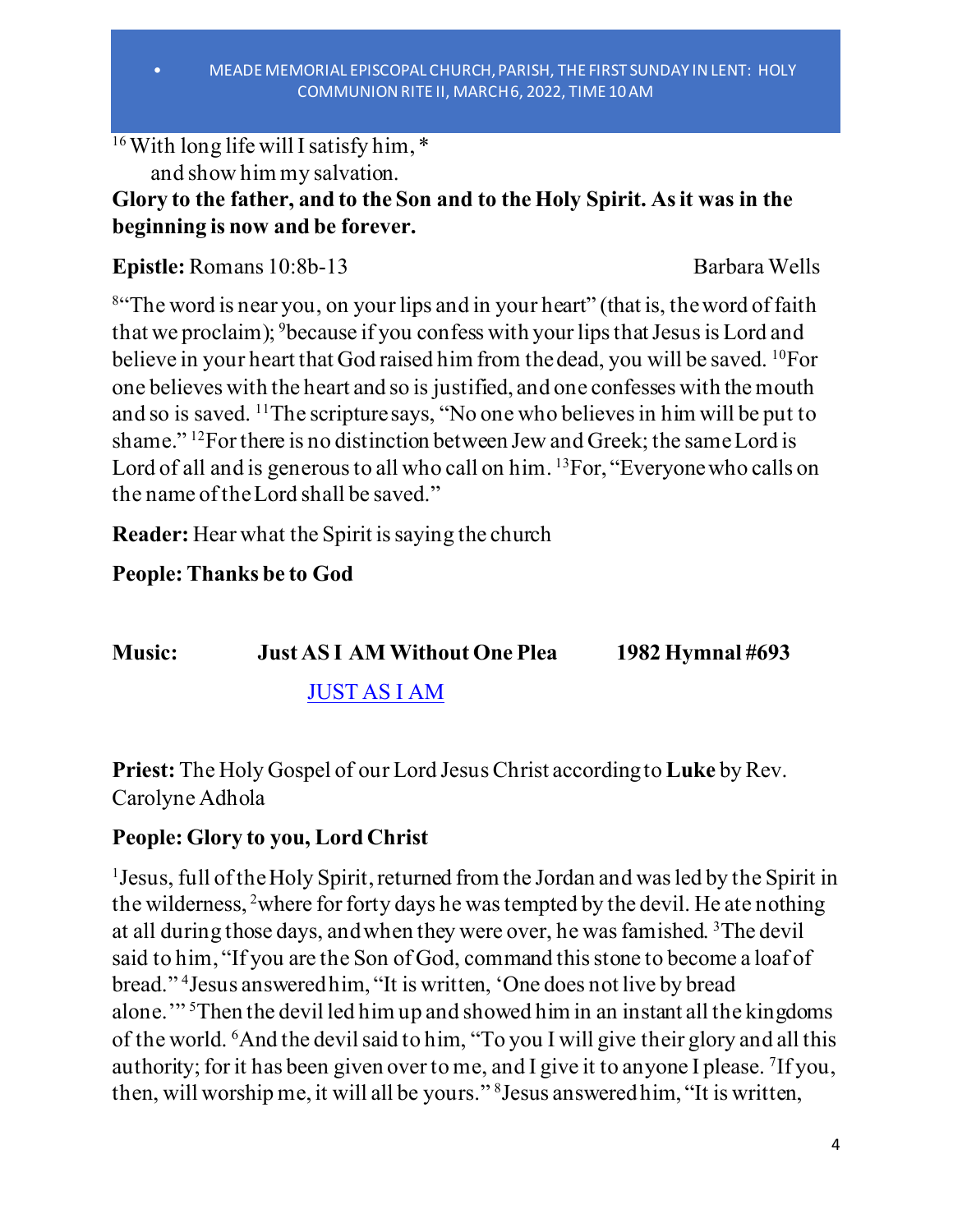## <sup>16</sup> With long life will I satisfy him, \*

and show him my salvation.

# **Glory to the father, and to the Son and to the Holy Spirit. As it was in the beginning is now and be forever.**

# **Epistle:** Romans 10:8b-13 Barbara Wells

8 "The word is near you, on your lips and in your heart" (that is, the word of faith that we proclaim); <sup>9</sup>because if you confess with your lips that Jesus is Lord and believe in your heart that God raised him from the dead, you will be saved. 10For one believes with the heart and so is justified, and one confesses with the mouth and so is saved. 11The scripture says, "No one who believes in him will be put to shame." 12For there is no distinction between Jew and Greek; the same Lord is Lord of all and is generous to all who call on him. <sup>13</sup> For, "Everyone who calls on the name of the Lord shall be saved."

**Reader:** Hear what the Spirit is saying the church

## **People: Thanks be to God**

**Music: Just AS I AM Without One Plea 1982 Hymnal #693** [JUST AS I AM](https://www.youtube.com/watch?v=G0XjqRZ9W_8)

**Priest:** The Holy Gospel of our Lord Jesus Christ according to **Luke** by Rev. Carolyne Adhola

## **People: Glory to you, Lord Christ**

1Jesus, full of the Holy Spirit, returned from the Jordan and was led by the Spirit in the wilderness, <sup>2</sup>where for forty days he was tempted by the devil. He ate nothing at all during those days, and when they were over, he was famished. 3The devil said to him, "If you are the Son of God, command this stone to become a loaf of bread." <sup>4</sup> Jesus answered him, "It is written, 'One does not live by bread alone."<sup>5</sup>Then the devil led him up and showed him in an instant all the kingdoms of the world. <sup>6</sup> And the devil said to him, "To you I will give their glory and all this authority; for it has been given over to me, and I give it to anyone I please. <sup>7</sup> If you, then, will worship me, it will all be yours." <sup>8</sup> Jesus answered him, "It is written,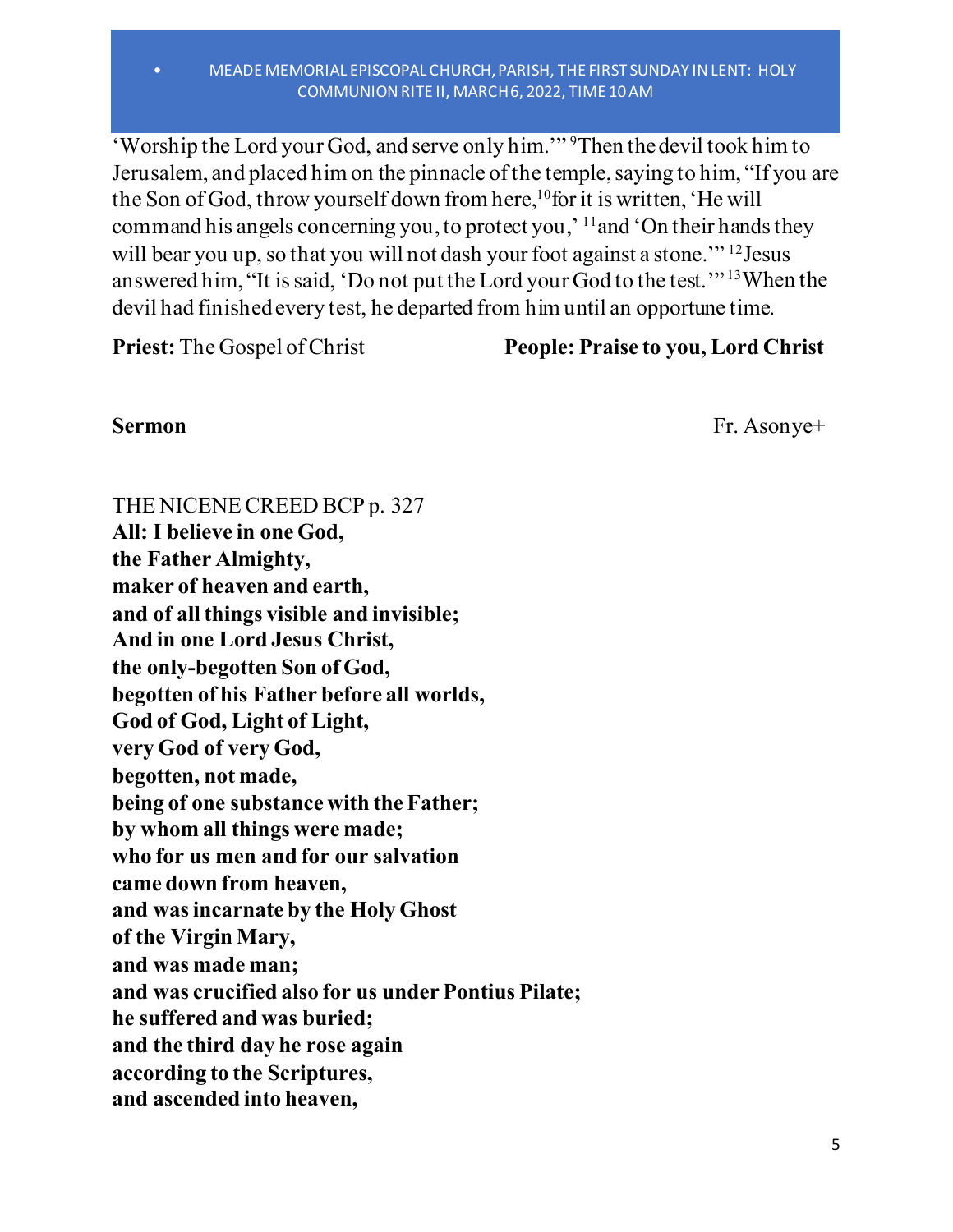'Worship the Lord your God, and serve only him.'" <sup>9</sup> Then the devil took him to Jerusalem, and placed him on the pinnacle of the temple, saying to him, "If you are the Son of God, throw yourself down from here,<sup>10</sup>for it is written, 'He will command his angels concerning you, to protect you,' 11and 'On their hands they will bear you up, so that you will not dash your foot against a stone."<sup>12</sup> Jesus answered him, "It is said, 'Do not put the Lord your God to the test.'" 13When the devil had finished every test, he departed from him until an opportune time.

### **Priest:** The Gospel of Christ **People: Praise to you, Lord Christ**

**Sermon** Fr. Asonye+

THE NICENE CREED BCP p. 327 **All: I believe in one God, the Father Almighty, maker of heaven and earth, and of all things visible and invisible; And in one Lord Jesus Christ, the only-begotten Son of God, begotten of his Father before all worlds, God of God, Light of Light, very God of very God, begotten, not made, being of one substance with the Father; by whom all things were made; who for us men and for our salvation came down from heaven, and was incarnate by the Holy Ghost of the Virgin Mary, and was made man; and was crucified also for us under Pontius Pilate; he suffered and was buried; and the third day he rose again according to the Scriptures, and ascended into heaven,**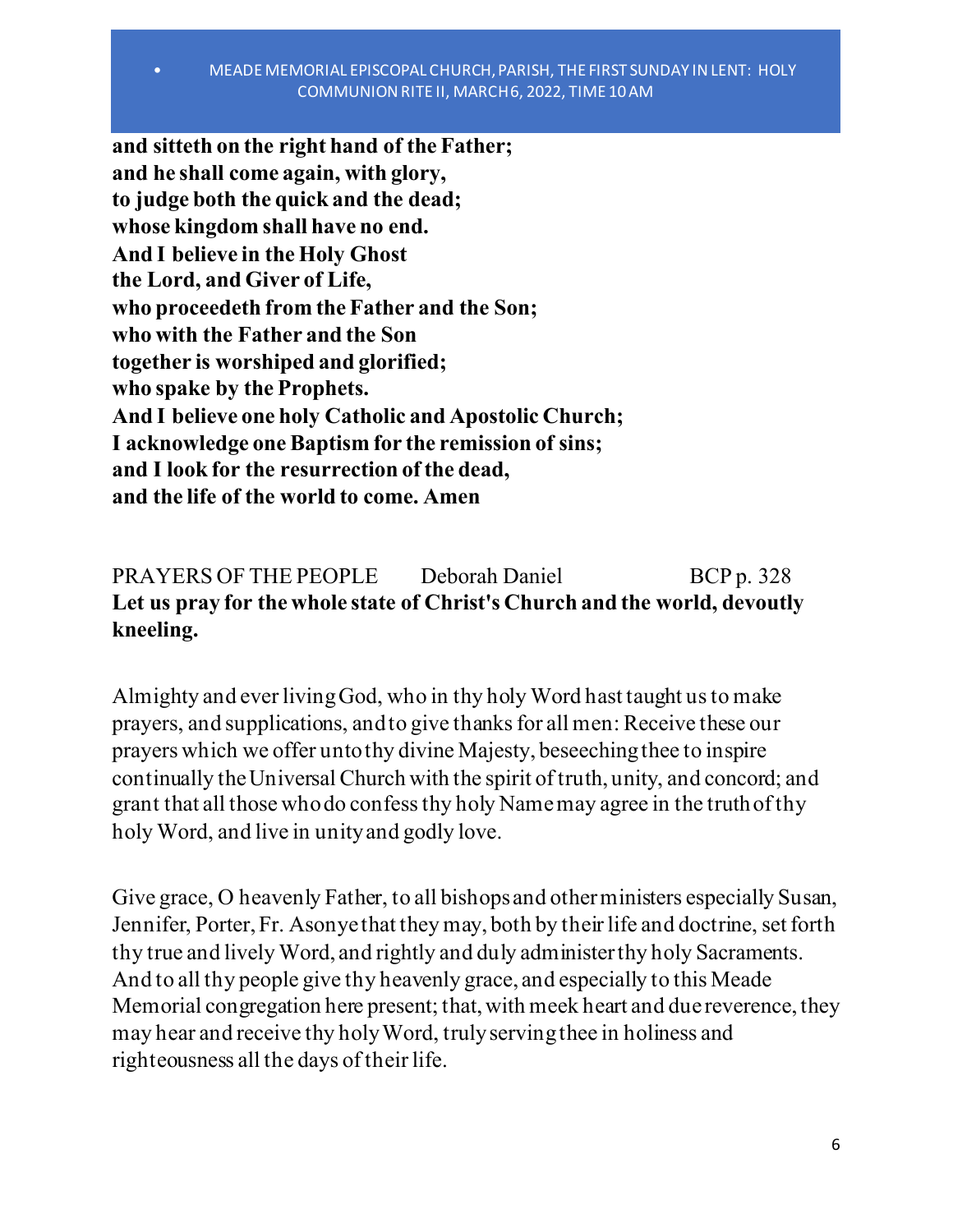**and sitteth on the right hand of the Father; and he shall come again, with glory, to judge both the quick and the dead; whose kingdom shall have no end. And I believe in the Holy Ghost the Lord, and Giver of Life, who proceedeth from the Father and the Son; who with the Father and the Son together is worshiped and glorified; who spake by the Prophets. And I believe one holy Catholic and Apostolic Church; I acknowledge one Baptism for the remission of sins; and I look for the resurrection of the dead, and the life of the world to come. Amen**

# PRAYERS OF THE PEOPLE Deborah Daniel BCP p. 328 **Let us pray for the whole state of Christ's Church and the world, devoutly kneeling.**

Almighty and ever living God, who in thy holy Word hast taught us to make prayers, and supplications, and to give thanks for all men: Receive these our prayers which we offer unto thy divine Majesty, beseeching thee to inspire continually the Universal Church with the spirit of truth, unity, and concord; and grant that all those who do confess thy holy Name may agree in the truth of thy holy Word, and live in unity and godly love.

Give grace, O heavenly Father, to all bishops and otherministers especially Susan, Jennifer, Porter, Fr. Asonye that they may, both by their life and doctrine, set forth thy true and lively Word, and rightly and duly administer thy holy Sacraments. And to all thy people give thy heavenly grace, and especially to this Meade Memorial congregation here present; that, with meek heart and due reverence, they may hear and receive thy holy Word, trulyserving thee in holiness and righteousness all the days of their life.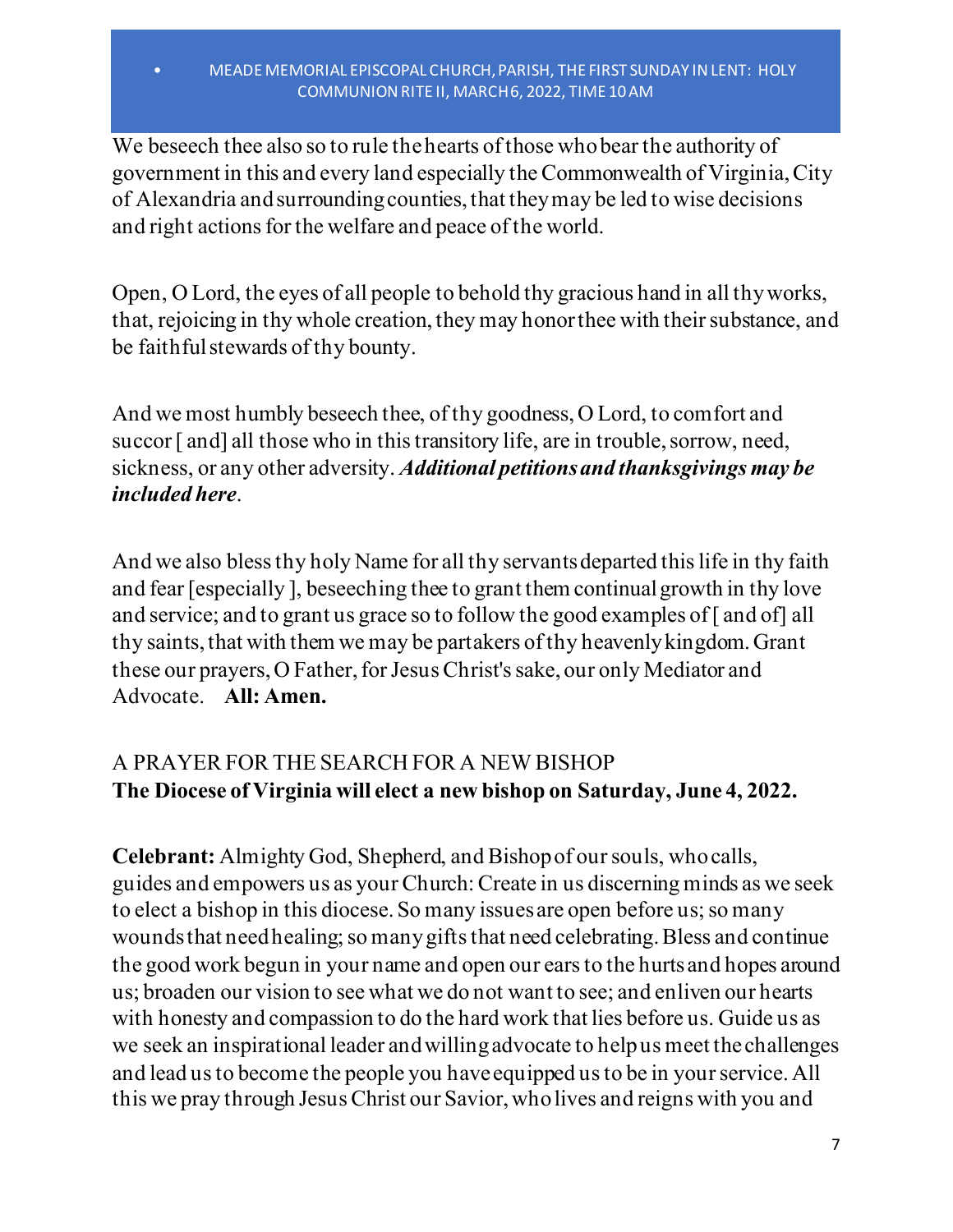We beseech thee also so to rule the hearts of those who bear the authority of government in this and every land especially the Commonwealth of Virginia, City of Alexandria andsurrounding counties, that they may be led to wise decisions and right actions for the welfare and peace of the world.

Open, O Lord, the eyes of all people to behold thy gracious hand in all thy works, that, rejoicing in thy whole creation, they may honor thee with their substance, and be faithful stewards of thy bounty.

And we most humbly beseech thee, of thy goodness, O Lord, to comfort and succor [ and] all those who in this transitory life, are in trouble, sorrow, need, sickness, or any other adversity. *Additional petitions and thanksgivings may be included here*.

And we also bless thy holy Name for all thy servants departed this life in thy faith and fear [especially ], beseeching thee to grant them continual growth in thy love and service; and to grant us grace so to follow the good examples of [and of] all thy saints, that with them we may be partakers of thy heavenly kingdom.Grant these our prayers, O Father, for Jesus Christ's sake, our only Mediator and Advocate. **All: Amen.**

# A PRAYER FOR THE SEARCH FOR A NEW BISHOP **The Diocese of Virginia will elect a new bishop on Saturday, June 4, 2022.**

**Celebrant:** Almighty God, Shepherd, and Bishop of our souls, who calls, guides and empowers us as your Church: Create in us discerning minds as we seek to elect a bishop in this diocese. So many issues are open before us; so many wounds that needhealing; so many gifts that need celebrating. Bless and continue the good work begun in your name and open our ears to the hurts and hopes around us; broaden our vision to see what we do not want to see; and enliven our hearts with honesty and compassion to do the hard work that lies before us. Guide us as we seek an inspirational leader and willing advocate to helpus meet the challenges and lead us to become the people you have equipped us to be in your service. All this we pray through Jesus Christ our Savior, who lives and reigns with you and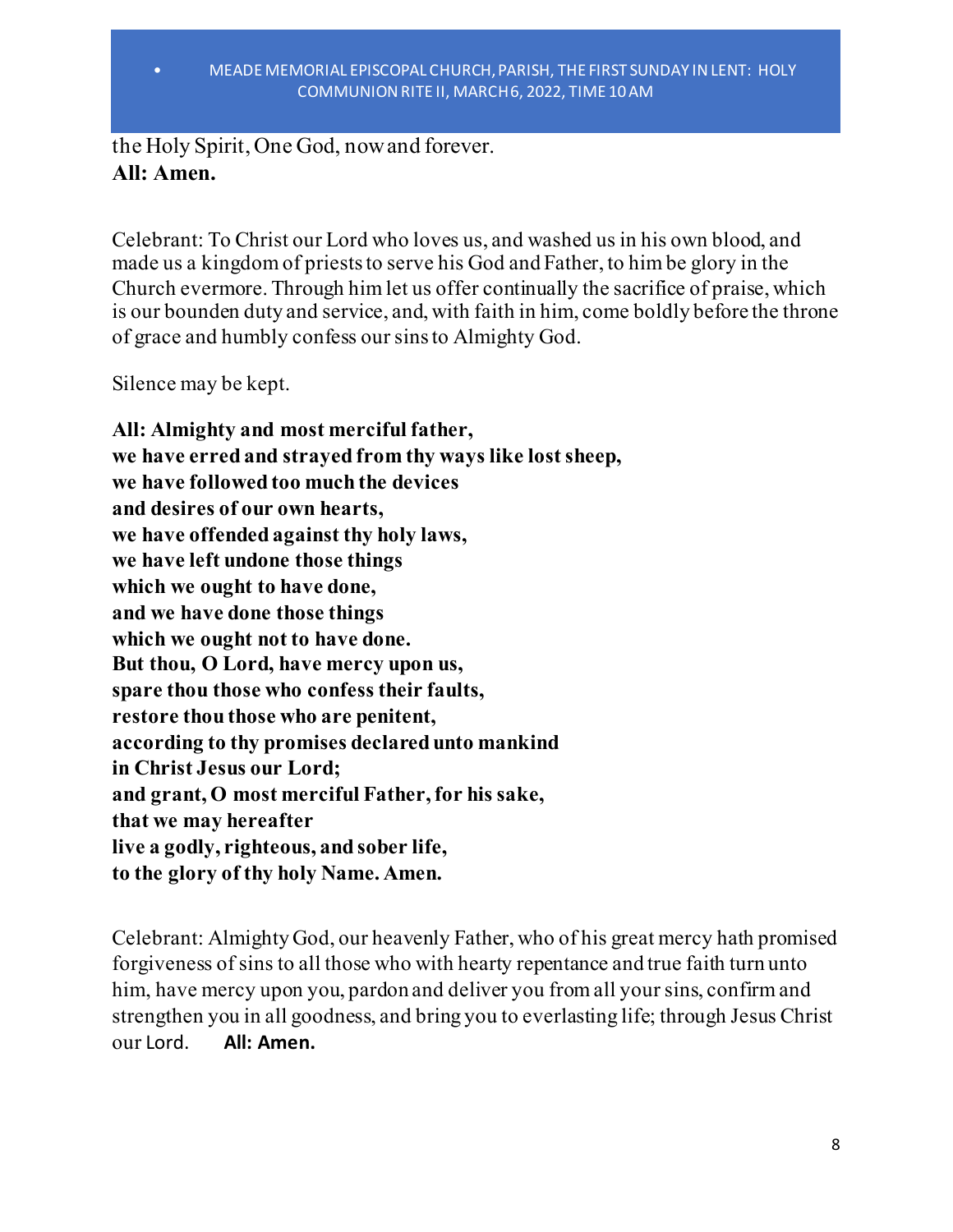the Holy Spirit, One God, now and forever. **All: Amen.**

Celebrant: To Christ our Lord who loves us, and washed us in his own blood, and made us a kingdom of priests to serve his God and Father, to him be glory in the Church evermore. Through him let us offer continually the sacrifice of praise, which is our bounden duty and service, and, with faith in him, come boldly before the throne of grace and humbly confess our sins to Almighty God.

Silence may be kept.

**All: Almighty and most merciful father, we have erred and strayed from thy ways like lost sheep, we have followed too much the devices and desires of our own hearts, we have offended against thy holy laws, we have left undone those things which we ought to have done, and we have done those things which we ought not to have done. But thou, O Lord, have mercy upon us, spare thou those who confess their faults, restore thou those who are penitent, according to thy promises declared unto mankind in Christ Jesus our Lord; and grant, O most merciful Father, for his sake, that we may hereafter live a godly, righteous, and sober life, to the glory of thy holy Name. Amen.**

Celebrant: Almighty God, our heavenly Father, who of his great mercy hath promised forgiveness of sins to all those who with hearty repentance and true faith turn unto him, have mercy upon you, pardon and deliver you from all your sins, confirm and strengthen you in all goodness, and bring you to everlasting life; through Jesus Christ our Lord. **All: Amen.**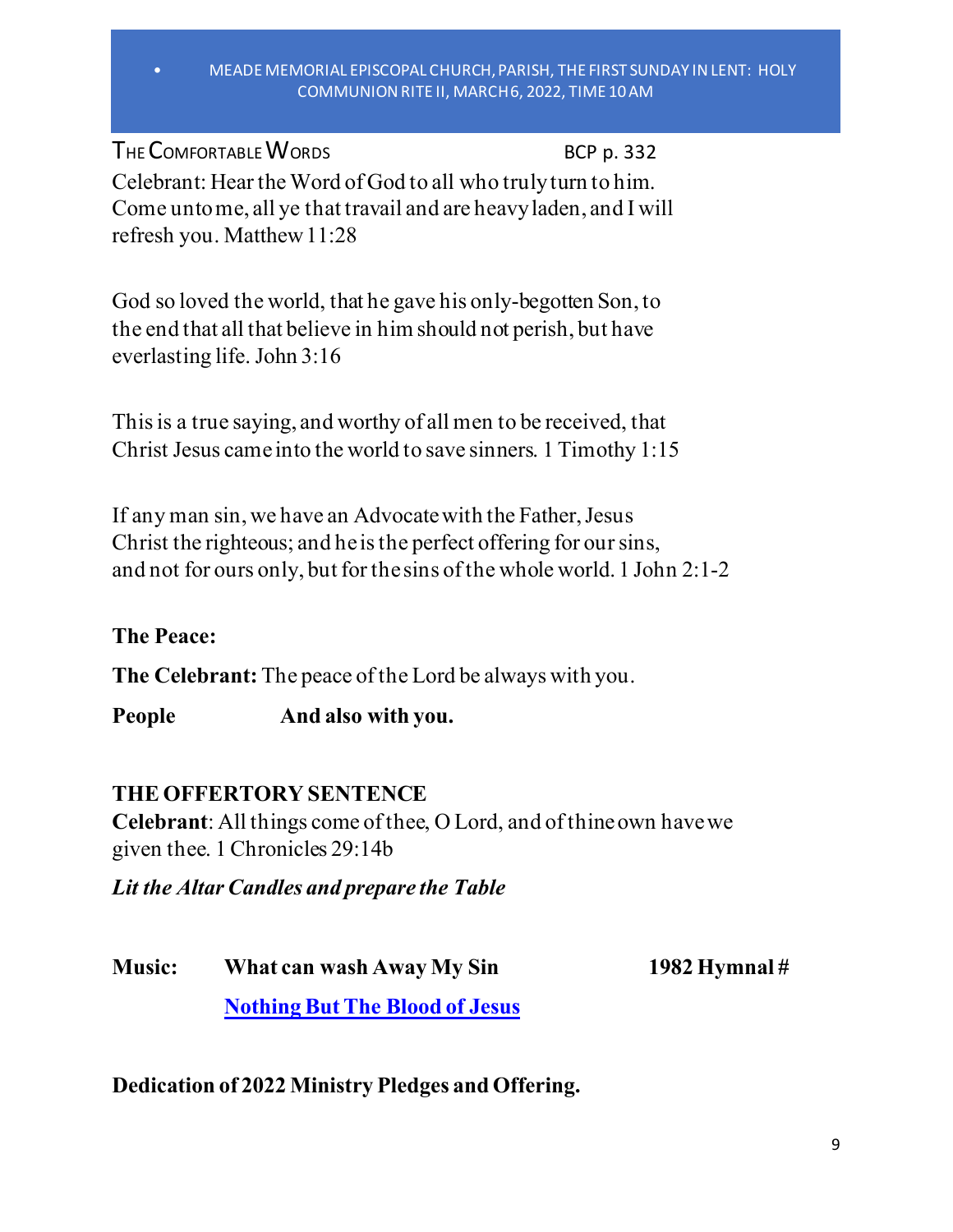THE COMFORTABLE WORDS BCP p. 332 Celebrant: Hear the Word of God to all who truly turn to him. Come unto me, all ye that travail and are heavy laden, and I will refresh you. Matthew 11:28

God so loved the world, that he gave his only-begotten Son, to the end that all that believe in him should not perish, but have everlasting life. John 3:16

This is a true saying, and worthy of all men to be received, that Christ Jesus came into the world to save sinners. 1 Timothy 1:15

If any man sin, we have an Advocate with the Father, Jesus Christ the righteous; and he is the perfect offering for our sins, and not for ours only, but for the sins of the whole world. 1 John 2:1-2

## **The Peace:**

**The Celebrant:** The peace of the Lord be always with you.

**People And also with you.**

## **THE OFFERTORY SENTENCE**

**Celebrant**: All things come of thee, O Lord, and of thine own have we given thee. 1 Chronicles 29:14b

*Lit the Altar Candles and prepare the Table*

Music: What can wash Away My Sin 1982 Hymnal # **[Nothing But The Blood of Jesus](https://www.youtube.com/watch?v=N-aBk7TEPLw)**

**Dedication of 2022 Ministry Pledges and Offering.**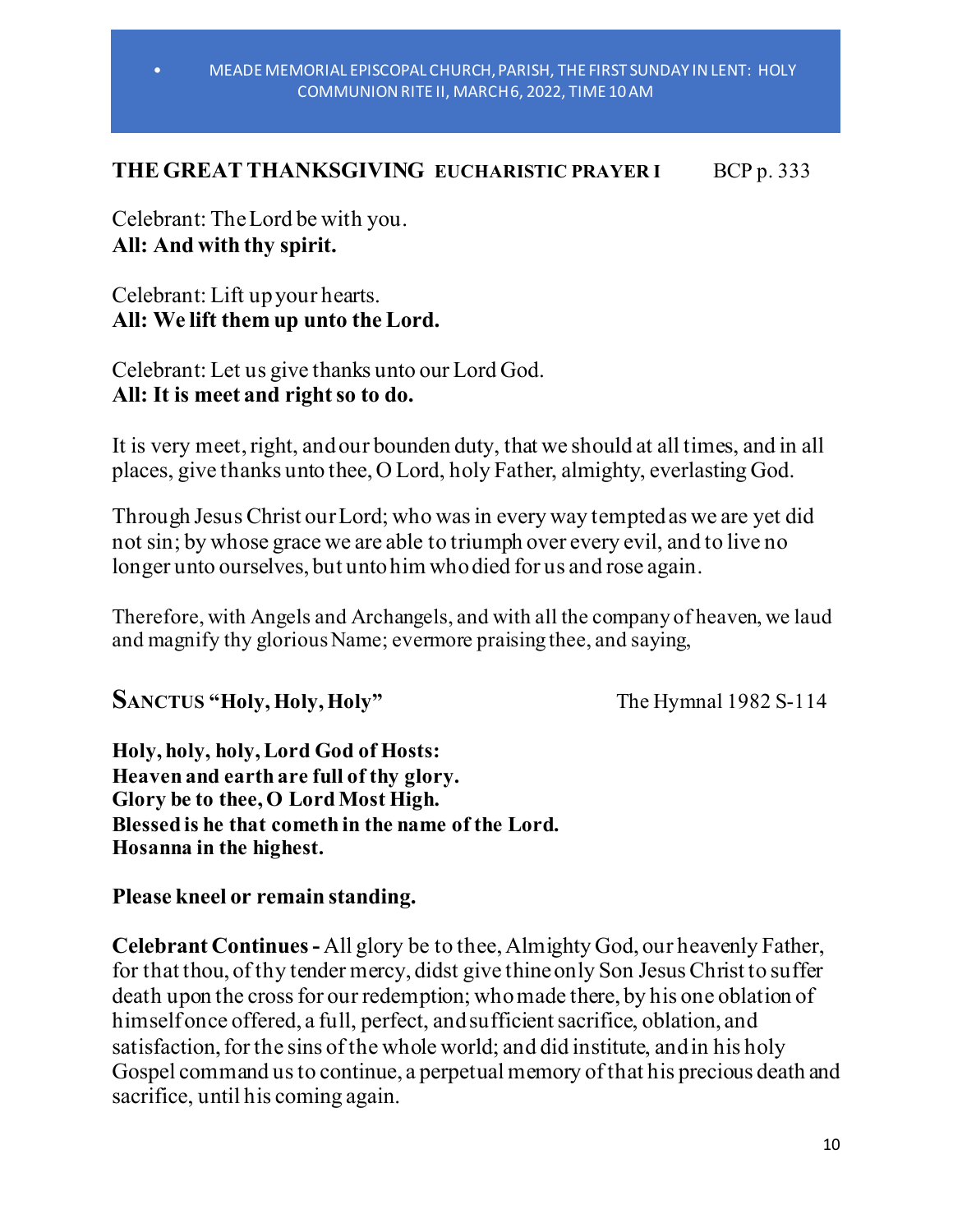### **THE GREAT THANKSGIVING EUCHARISTIC PRAYER I** BCP p. 333

Celebrant: The Lord be with you. **All: And with thy spirit.**

Celebrant: Lift up your hearts. **All: We lift them up unto the Lord.**

Celebrant: Let us give thanks unto our Lord God. **All: It is meet and right so to do.**

It is very meet, right, and our bounden duty, that we should at all times, and in all places, give thanks unto thee, O Lord, holy Father, almighty, everlasting God.

Through Jesus Christ our Lord; who was in every way tempted as we are yet did not sin; by whose grace we are able to triumph over every evil, and to live no longer unto ourselves, but unto him who died for us and rose again.

Therefore, with Angels and Archangels, and with all the company of heaven, we laud and magnify thy glorious Name; evermore praising thee, and saying,

**SANCTUS "Holy, Holy, Holy"** The Hymnal 1982 S-114

**Holy, holy, holy, Lord God of Hosts: Heaven and earth are full of thy glory. Glory be to thee, O Lord Most High. Blessed is he that cometh in the name of the Lord. Hosanna in the highest.**

**Please kneel or remain standing.**

**Celebrant Continues -** All glory be to thee, Almighty God, our heavenly Father, for that thou, of thy tender mercy, didst give thine only Son Jesus Christ to suffer death upon the cross for our redemption; who made there, by his one oblation of himself once offered, a full, perfect, and sufficient sacrifice, oblation, and satisfaction, for the sins of the whole world; and did institute, and in his holy Gospel command us to continue, a perpetual memory of that his precious death and sacrifice, until his coming again.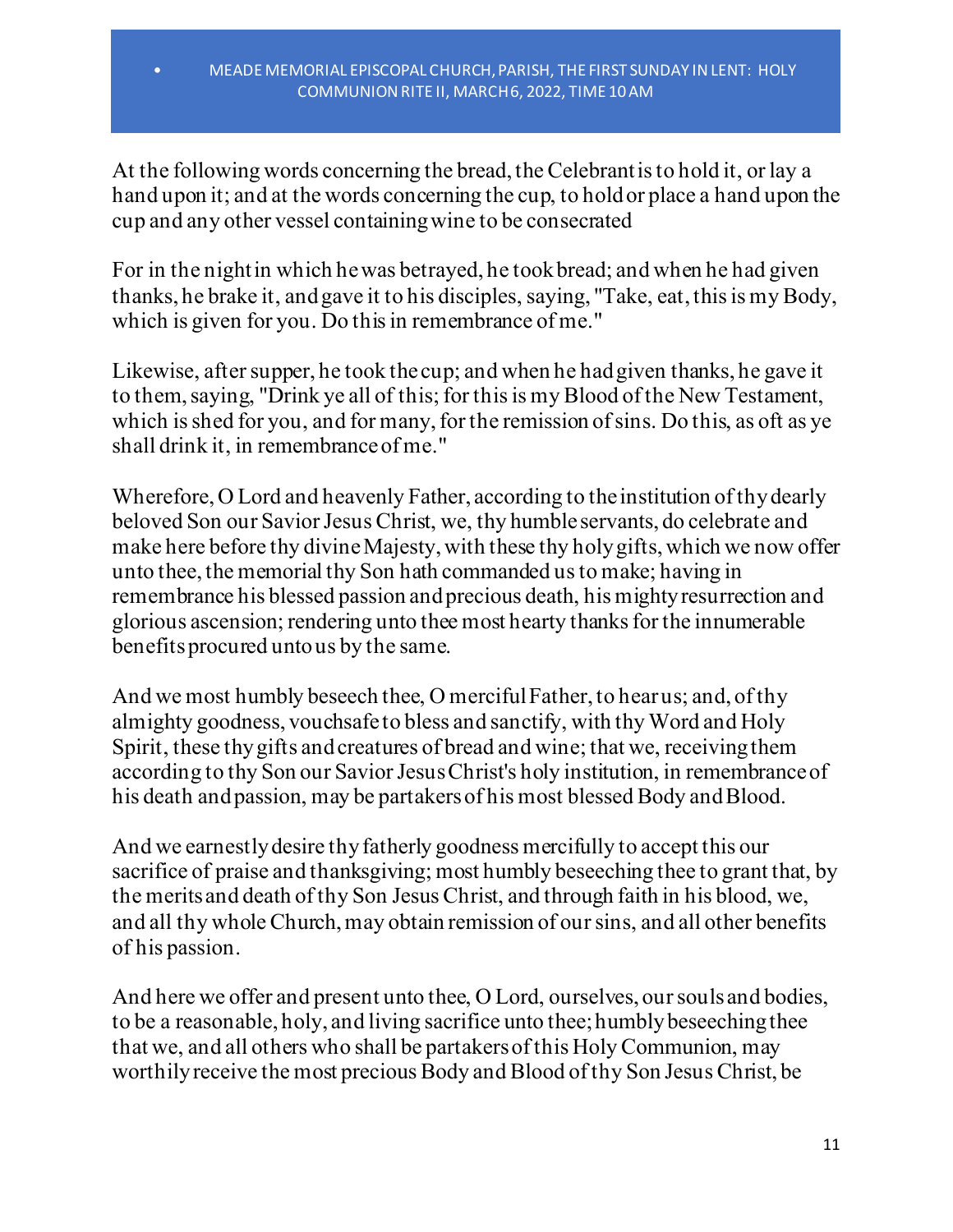At the following words concerning the bread, the Celebrant is to hold it, or lay a hand upon it; and at the words concerning the cup, to hold or place a hand upon the cup and any other vessel containing wine to be consecrated

For in the night in which he was betrayed, he took bread; and when he had given thanks, he brake it, and gave it to his disciples, saying, "Take, eat, this is my Body, which is given for you. Do this in remembrance of me."

Likewise, after supper, he took the cup; and when he had given thanks, he gave it to them, saying, "Drink ye all of this; for this is my Blood of the New Testament, which is shed for you, and for many, for the remission of sins. Do this, as oft as ye shall drink it, in remembrance of me."

Wherefore, O Lord and heavenly Father, according to the institution of thy dearly beloved Son our Savior Jesus Christ, we, thy humble servants, do celebrate and make here before thy divine Majesty, with these thy holy gifts, which we now offer unto thee, the memorial thy Son hath commanded us to make; having in remembrance his blessed passion and precious death, his mighty resurrection and glorious ascension; rendering unto thee most hearty thanks for the innumerable benefits procured unto us by the same.

And we most humbly beseech thee, O merciful Father, to hear us; and, of thy almighty goodness, vouchsafe to bless and sanctify, with thy Word and Holy Spirit, these thy gifts and creatures of bread and wine; that we, receiving them according to thy Son our Savior Jesus Christ's holy institution, in remembrance of his death and passion, may be partakers of his most blessed Body and Blood.

And we earnestly desire thy fatherly goodness mercifully to accept this our sacrifice of praise and thanksgiving; most humbly beseeching thee to grant that, by the merits and death of thy Son Jesus Christ, and through faith in his blood, we, and all thy whole Church, may obtain remission of our sins, and all other benefits of his passion.

And here we offer and present unto thee, O Lord, ourselves, our souls and bodies, to be a reasonable, holy, and living sacrifice unto thee; humbly beseeching thee that we, and all others who shall be partakers of this Holy Communion, may worthily receive the most precious Body and Blood of thy Son Jesus Christ, be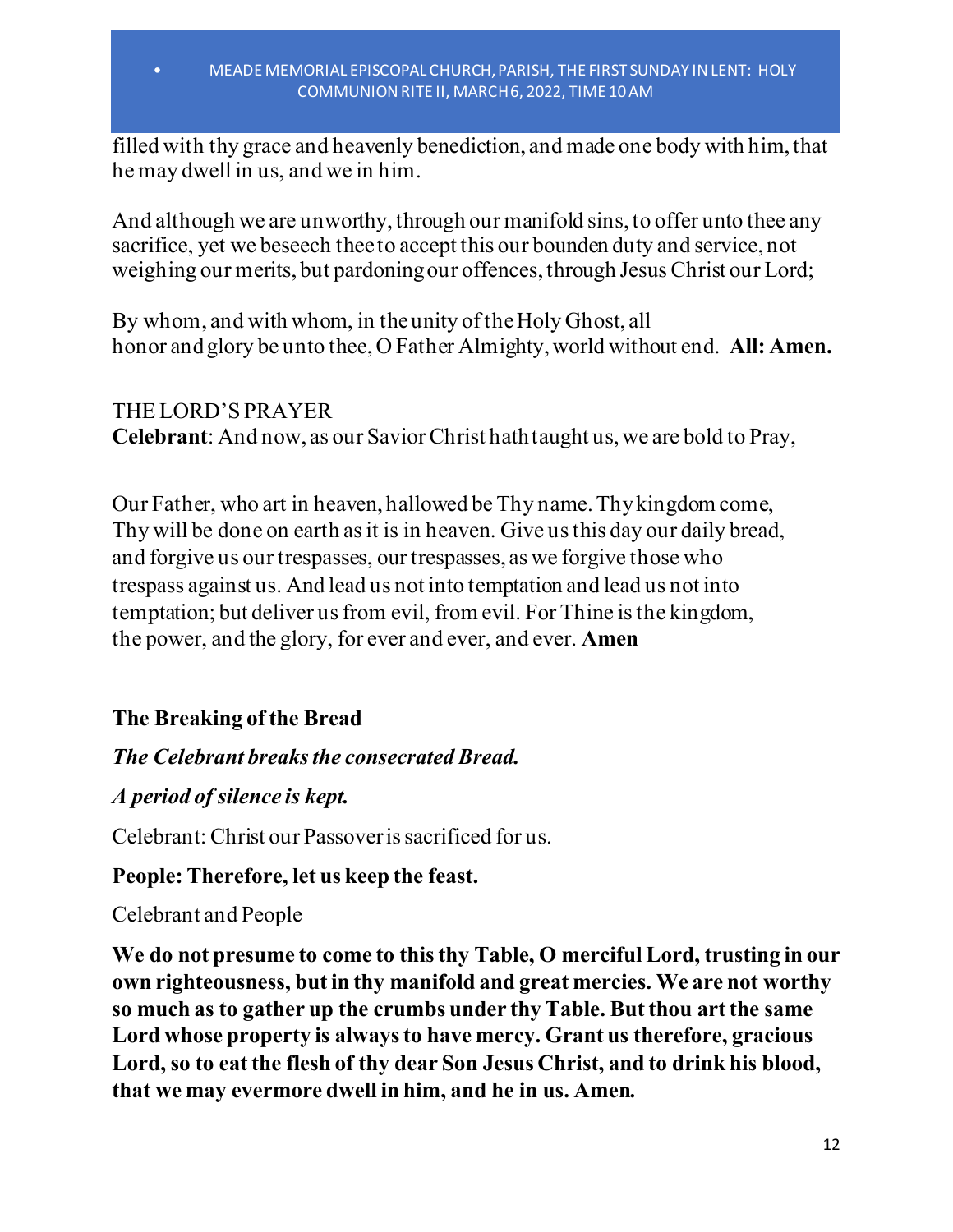filled with thy grace and heavenly benediction, and made one body with him, that he may dwell in us, and we in him.

And although we are unworthy, through our manifold sins, to offer unto thee any sacrifice, yet we beseech thee to accept this our bounden duty and service, not weighing our merits, but pardoning our offences, through Jesus Christ our Lord;

By whom, and with whom, in the unity of the Holy Ghost, all honor and glory be unto thee, O Father Almighty, world without end. **All: Amen.**

## THE LORD'S PRAYER

**Celebrant**: And now, as our Savior Christ hath taught us,we are bold to Pray,

Our Father, who art in heaven, hallowed be Thy name. Thy kingdom come, Thy will be done on earth as it is in heaven. Give us this day our daily bread, and forgive us our trespasses, our trespasses, as we forgive those who trespass against us. And lead us not into temptation and lead us not into temptation; but deliver us from evil, from evil. For Thine is the kingdom, the power, and the glory, for ever and ever, and ever. **Amen**

## **The Breaking of the Bread**

### *The Celebrant breaks the consecrated Bread.*

*A period of silence is kept.*

Celebrant: Christ our Passover is sacrificed for us.

### **People: Therefore, let us keep the feast.**

Celebrant and People

**We do not presume to come to this thy Table, O merciful Lord, trusting in our own righteousness, but in thy manifold and great mercies. We are not worthy so much as to gather up the crumbs under thy Table. But thou art the same Lord whose property is always to have mercy. Grant us therefore, gracious Lord, so to eat the flesh of thy dear Son Jesus Christ, and to drink his blood, that we may evermore dwell in him, and he in us. Amen***.*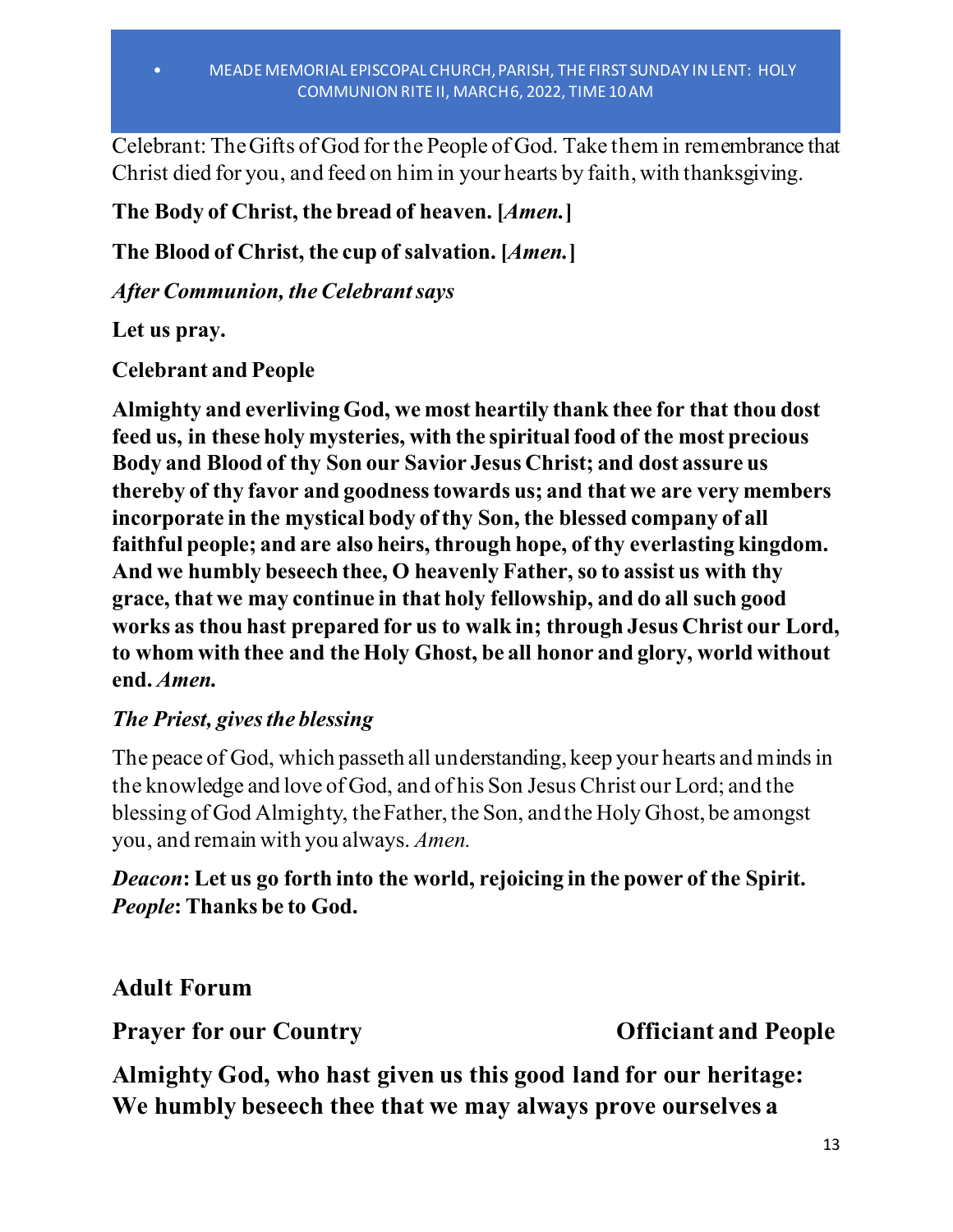Celebrant: The Gifts of God for the People of God. Take them in remembrance that Christ died for you, and feed on him in your hearts by faith, with thanksgiving.

**The Body of Christ, the bread of heaven. [***Amen.***]**

**The Blood of Christ, the cup of salvation. [***Amen.***]**

*After Communion, the Celebrant says*

**Let us pray.**

**Celebrant and People**

**Almighty and everliving God, we most heartily thank thee for that thou dost feed us, in these holy mysteries, with the spiritual food of the most precious Body and Blood of thy Son our Savior Jesus Christ; and dost assure us thereby of thy favor and goodness towards us; and that we are very members incorporate in the mystical body of thy Son, the blessed company of all faithful people; and are also heirs, through hope, of thy everlasting kingdom. And we humbly beseech thee, O heavenly Father, so to assist us with thy grace, that we may continue in that holy fellowship, and do all such good works as thou hast prepared for us to walk in; through Jesus Christ our Lord, to whom with thee and the Holy Ghost, be all honor and glory, world without end.** *Amen.*

### *The Priest, gives the blessing*

The peace of God, which passeth all understanding, keep your hearts and minds in the knowledge and love of God, and of his Son Jesus Christ our Lord; and the blessing of God Almighty, the Father, the Son, and the Holy Ghost, be amongst you, and remain with you always. *Amen.*

*Deacon***: Let us go forth into the world, rejoicing in the power of the Spirit.**  *People***: Thanks be to God.**

**Adult Forum**

**Prayer for our Country County County County County County County County County County County County County County County County County County County County County County County County County County County County County Co** 

**Almighty God, who hast given us this good land for our heritage: We humbly beseech thee that we may always prove ourselves a**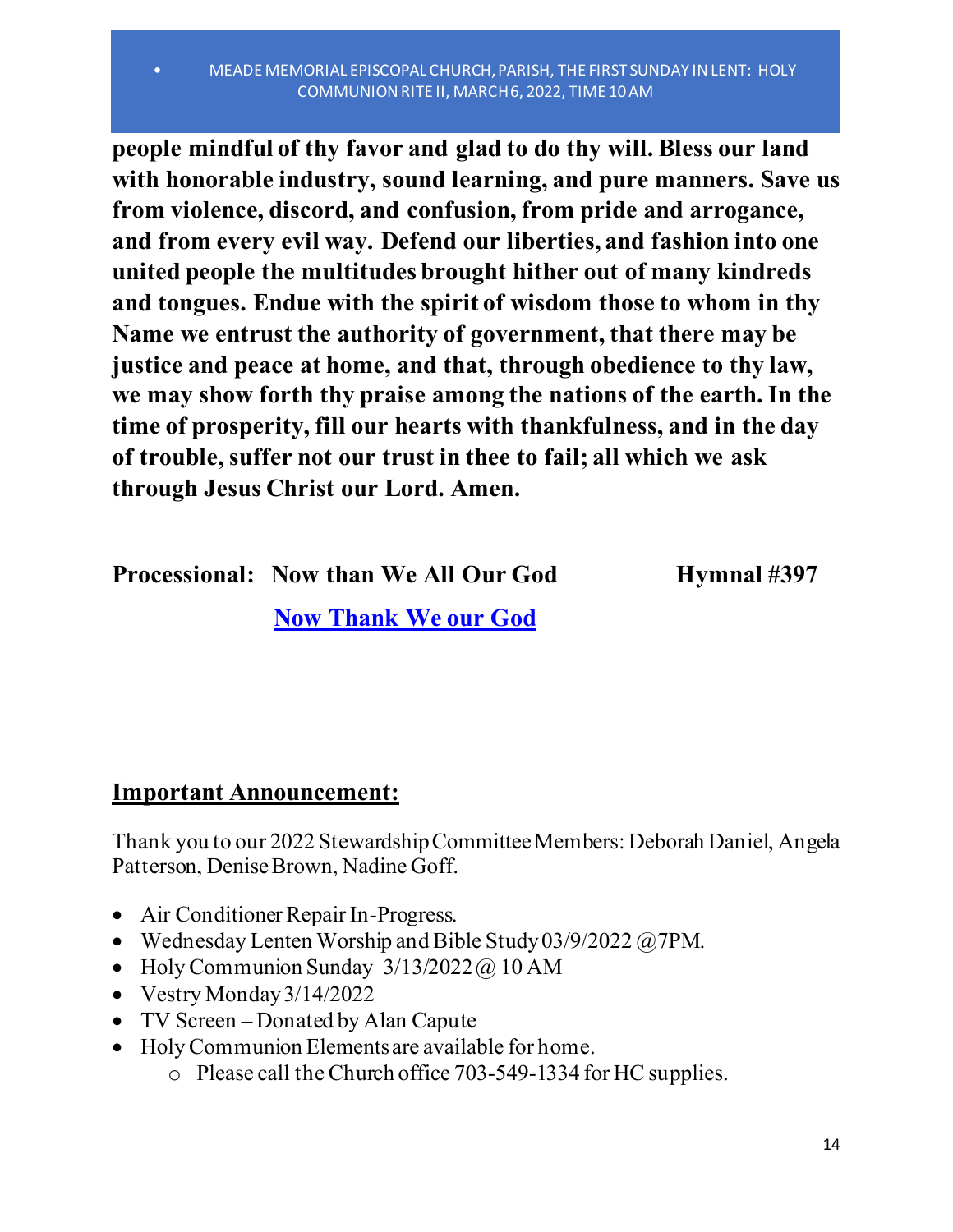**people mindful of thy favor and glad to do thy will. Bless our land with honorable industry, sound learning, and pure manners. Save us from violence, discord, and confusion, from pride and arrogance, and from every evil way. Defend our liberties, and fashion into one united people the multitudes brought hither out of many kindreds and tongues. Endue with the spirit of wisdom those to whom in thy Name we entrust the authority of government, that there may be justice and peace at home, and that, through obedience to thy law, we may show forth thy praise among the nations of the earth. In the time of prosperity, fill our hearts with thankfulness, and in the day of trouble, suffer not our trust in thee to fail; all which we ask through Jesus Christ our Lord. Amen.**

**Processional:** Now than We All Our God **Hymnal** #397

 **[Now Thank We our God](https://www.youtube.com/watch?v=g_OgVO7ftFI)**

## **Important Announcement:**

Thank you to our 2022 Stewardship Committee Members: Deborah Daniel, Angela Patterson, Denise Brown, Nadine Goff.

- Air Conditioner Repair In-Progress.
- Wednesday Lenten Worship and Bible Study 03/9/2022 @7PM.
- Holy Communion Sunday  $3/13/2022$  @ 10 AM
- Vestry Monday 3/14/2022
- TV Screen Donated by Alan Capute
- Holy Communion Elements are available for home.
	- o Please call the Church office 703-549-1334 for HC supplies.